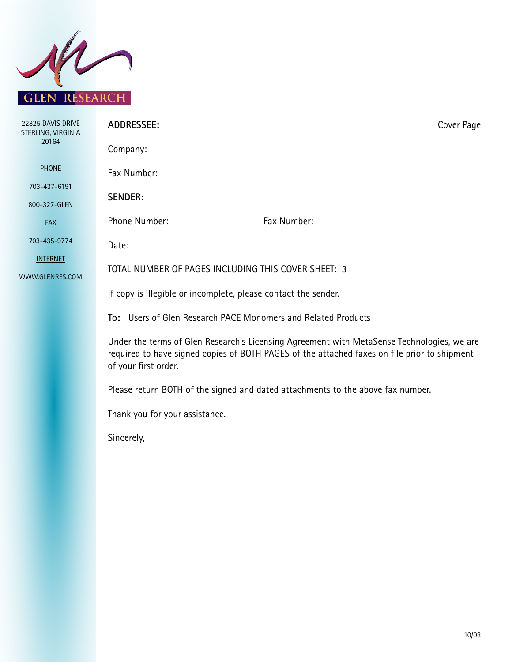

| 22825 DAVIS DRIVE<br>STERLING, VIRGINIA                                                                                                                                                                            | <b>ADDRESSEE:</b>                                                               |             | Cover Page |
|--------------------------------------------------------------------------------------------------------------------------------------------------------------------------------------------------------------------|---------------------------------------------------------------------------------|-------------|------------|
| 20164                                                                                                                                                                                                              | Company:                                                                        |             |            |
| <b>PHONE</b>                                                                                                                                                                                                       | Fax Number:                                                                     |             |            |
| 703-437-6191                                                                                                                                                                                                       | <b>SENDER:</b>                                                                  |             |            |
| 800-327-GLEN                                                                                                                                                                                                       |                                                                                 |             |            |
| <b>FAX</b>                                                                                                                                                                                                         | Phone Number:                                                                   | Fax Number: |            |
| 703-435-9774                                                                                                                                                                                                       | Date:                                                                           |             |            |
| <b>INTERNET</b>                                                                                                                                                                                                    |                                                                                 |             |            |
| WWW.GLENRES.COM                                                                                                                                                                                                    | TOTAL NUMBER OF PAGES INCLUDING THIS COVER SHEET: 3                             |             |            |
|                                                                                                                                                                                                                    | If copy is illegible or incomplete, please contact the sender.                  |             |            |
|                                                                                                                                                                                                                    | To: Users of Glen Research PACE Monomers and Related Products                   |             |            |
| Under the terms of Glen Research's Licensing Agreement with MetaSense Technologies, we are<br>required to have signed copies of BOTH PAGES of the attached faxes on file prior to shipment<br>of your first order. |                                                                                 |             |            |
|                                                                                                                                                                                                                    | Please return BOTH of the signed and dated attachments to the above fax number. |             |            |
|                                                                                                                                                                                                                    | Thank you for your assistance.                                                  |             |            |
|                                                                                                                                                                                                                    | Sincerely,                                                                      |             |            |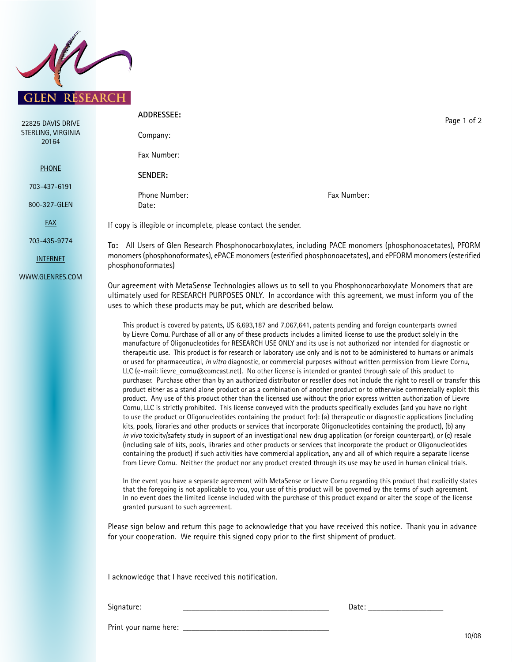

| 22825 DAVIS DRIVE           | ADDRESSEE:                                                                                                                                                                                                                                                                                                                                                                                                                                                                               | Page 1 of 2 |  |
|-----------------------------|------------------------------------------------------------------------------------------------------------------------------------------------------------------------------------------------------------------------------------------------------------------------------------------------------------------------------------------------------------------------------------------------------------------------------------------------------------------------------------------|-------------|--|
| STERLING, VIRGINIA<br>20164 | Company:                                                                                                                                                                                                                                                                                                                                                                                                                                                                                 |             |  |
|                             | Fax Number:                                                                                                                                                                                                                                                                                                                                                                                                                                                                              |             |  |
| <b>PHONE</b>                | SENDER:                                                                                                                                                                                                                                                                                                                                                                                                                                                                                  |             |  |
| 703-437-6191                |                                                                                                                                                                                                                                                                                                                                                                                                                                                                                          |             |  |
| 800-327-GLEN                | Phone Number:<br>Date:                                                                                                                                                                                                                                                                                                                                                                                                                                                                   | Fax Number: |  |
| <b>FAX</b>                  | If copy is illegible or incomplete, please contact the sender.                                                                                                                                                                                                                                                                                                                                                                                                                           |             |  |
| 703-435-9774                | To: All Users of Glen Research Phosphonocarboxylates, including PACE monomers (phosphonoacetates), PFORM<br>monomers (phosphonoformates), ePACE monomers (esterified phosphonoacetates), and ePFORM monomers (esterified<br>phosphonoformates)                                                                                                                                                                                                                                           |             |  |
| <b>INTERNET</b>             |                                                                                                                                                                                                                                                                                                                                                                                                                                                                                          |             |  |
| WWW.GLENRES.COM             |                                                                                                                                                                                                                                                                                                                                                                                                                                                                                          |             |  |
|                             | Our agreement with MetaSense Technologies allows us to sell to you Phosphonocarboxylate Monomers that are<br>ultimately used for RESEARCH PURPOSES ONLY. In accordance with this agreement, we must inform you of the<br>uses to which these products may be put, which are described below.                                                                                                                                                                                             |             |  |
|                             | This product is covered by patents, US 6,693,187 and 7,067,641, patents pending and foreign counterparts owned<br>by Lievre Cornu. Purchase of all or any of these products includes a limited license to use the product solely in the<br>manufacture of Oligonucleotides for RESEARCH USE ONLY and its use is not authorized nor intended for diagnostic or<br>therapeutic use. This product is for research or laboratory use only and is not to be administered to humans or animals |             |  |

therapeutic use. This product is for research or laboratory use only and is not to be administered to humans or animals or used for pharmaceutical, *in vitro* diagnostic, or commercial purposes without written permission from Lievre Cornu, LLC (e-mail: lievre\_cornu@comcast.net). No other license is intended or granted through sale of this product to purchaser. Purchase other than by an authorized distributor or reseller does not include the right to resell or transfer this product either as a stand alone product or as a combination of another product or to otherwise commercially exploit this product. Any use of this product other than the licensed use without the prior express written authorization of Lievre Cornu, LLC is strictly prohibited. This license conveyed with the products specifically excludes (and you have no right to use the product or Oligonucleotides containing the product for): (a) therapeutic or diagnostic applications (including kits, pools, libraries and other products or services that incorporate Oligonucleotides containing the product), (b) any *in vivo* toxicity/safety study in support of an investigational new drug application (or foreign counterpart), or (c) resale (including sale of kits, pools, libraries and other products or services that incorporate the product or Oligonucleotides containing the product) if such activities have commercial application, any and all of which require a separate license from Lievre Cornu. Neither the product nor any product created through its use may be used in human clinical trials.

In the event you have a separate agreement with MetaSense or Lievre Cornu regarding this product that explicitly states that the foregoing is not applicable to you, your use of this product will be governed by the terms of such agreement. In no event does the limited license included with the purchase of this product expand or alter the scope of the license granted pursuant to such agreement.

Please sign below and return this page to acknowledge that you have received this notice. Thank you in advance for your cooperation. We require this signed copy prior to the first shipment of product.

I acknowledge that I have received this notification.

Signature: \_\_\_\_\_\_\_\_\_\_\_\_\_\_\_\_\_\_\_\_\_\_\_\_\_\_\_\_\_\_\_\_\_\_\_ Date: \_\_\_\_\_\_\_\_\_\_\_\_\_\_\_\_\_\_

Print your name here: \_\_\_\_\_\_\_\_\_\_\_\_\_\_\_\_\_\_\_\_\_\_\_\_\_\_\_\_\_\_\_\_\_\_\_